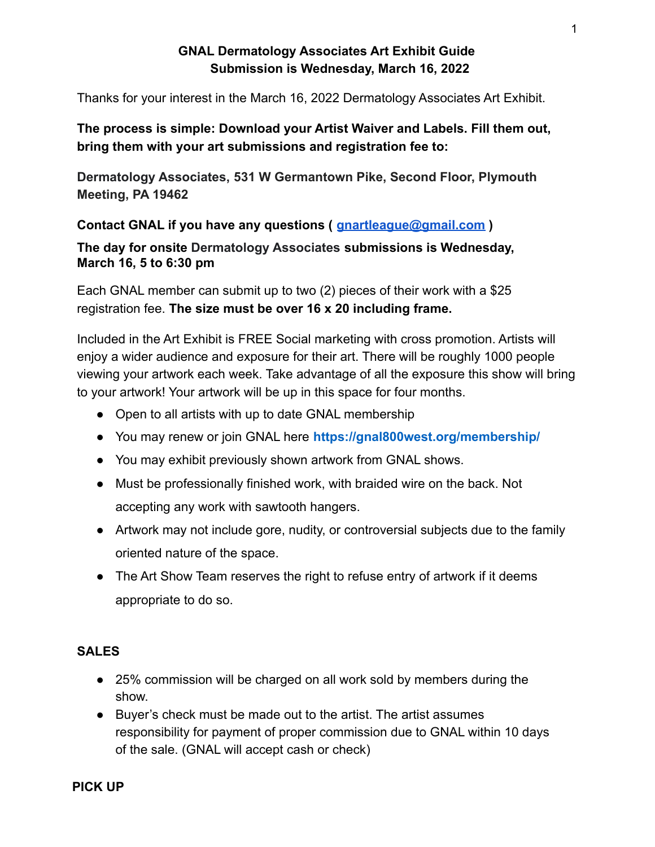## **GNAL Dermatology Associates Art Exhibit Guide Submission is Wednesday, March 16, 2022**

Thanks for your interest in the March 16, 2022 Dermatology Associates Art Exhibit.

## **The process is simple: Download your Artist Waiver and Labels. Fill them out, bring them with your art submissions and registration fee to:**

**Dermatology Associates, 531 W Germantown Pike, Second Floor, Plymouth Meeting, PA 19462**

**Contact GNAL if you have any questions ( [gnartleague@gmail.com](mailto:gnartleague@gmail.com) )**

**The day for onsite Dermatology Associates submissions is Wednesday, March 16, 5 to 6:30 pm**

Each GNAL member can submit up to two (2) pieces of their work with a \$25 registration fee. **The size must be over 16 x 20 including frame.**

Included in the Art Exhibit is FREE Social marketing with cross promotion. Artists will enjoy a wider audience and exposure for their art. There will be roughly 1000 people viewing your artwork each week. Take advantage of all the exposure this show will bring to your artwork! Your artwork will be up in this space for four months.

- Open to all artists with up to date GNAL membership
- You may renew or join GNAL here **https://gnal800west.org/membership/**
- You may exhibit previously shown artwork from GNAL shows.
- Must be professionally finished work, with braided wire on the back. Not accepting any work with sawtooth hangers.
- Artwork may not include gore, nudity, or controversial subjects due to the family oriented nature of the space.
- The Art Show Team reserves the right to refuse entry of artwork if it deems appropriate to do so.

## **SALES**

- 25% commission will be charged on all work sold by members during the show.
- Buyer's check must be made out to the artist. The artist assumes responsibility for payment of proper commission due to GNAL within 10 days of the sale. (GNAL will accept cash or check)